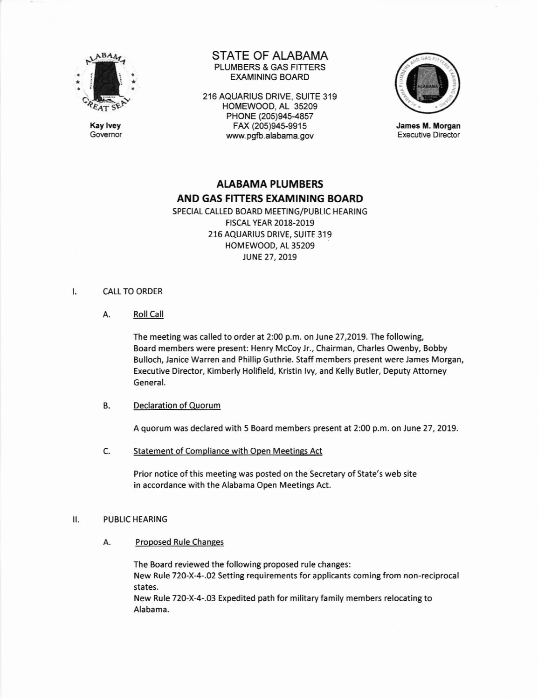

Kay lvey Governor STATE OF ALABAMA PLUMBERS & GAS FITTERS EXAMINING BOARD

2.16 AQUARIUS DRIVE, SUITE 319 HOMEWOOD, AL 35209 PHONE (205)945-4857 FAX (205)94s-9915 www.pgfb-alabama.gov



James M. Morgan Executive Director

# AIABAMA PLUMBERS AND GAS FITTERS EXAMINING BOARD

SPECIAL CALLED BOARD MEETING/PUBLIC HEARING FtscAL YEAR 2018-2019 216 AQUARIUS DRIVE, SUITE 319 HOMEWOOD, At 35209 JUNE 27, 2019

#### **CALL TO ORDER** I.

A. RollCall

The meeting was called to order at 2:00 p.m. on June 27,2019. The following, Board members were present: Henry Mccoy Jr., Chairman, Charles Owenby, Bobby Bulloch, Janice Warren and Phillip Guthrie. Staff members present were James Morgan, Executive Director, Kimberly Holifield, Kristin Ivy, and Kelly Butler, Deputy Attorney General.

#### B. Declaration of Quorum

A quorum was declared with 5 Board members present at 2:00 p.m. on June 27,2019

Statement of Compliance with Open Meetines Act c.

> Prior notice of this meeting was posted on the Secretary of State's web site in accordance with the Alabama Open Meetings Act.

### II. PUBLIC HEARING

Proposed Rule Changes A

> The Board reviewed the following proposed rule changes: New Rule 720-X-4-.02 Setting requirements for applicants coming from non-reciprocal states.

New Rule 720-X-4-.03 Expedited path for military family members relocating to Alabama.